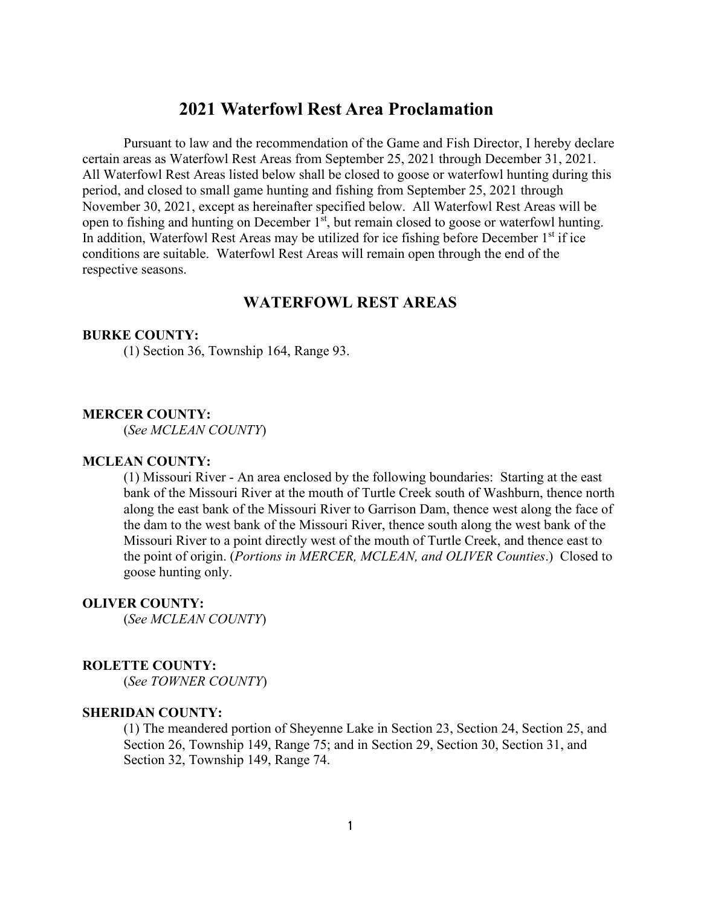# **2021 Waterfowl Rest Area Proclamation**

Pursuant to law and the recommendation of the Game and Fish Director, I hereby declare certain areas as Waterfowl Rest Areas from September 25, 2021 through December 31, 2021. All Waterfowl Rest Areas listed below shall be closed to goose or waterfowl hunting during this period, and closed to small game hunting and fishing from September 25, 2021 through November 30, 2021, except as hereinafter specified below. All Waterfowl Rest Areas will be open to fishing and hunting on December 1<sup>st</sup>, but remain closed to goose or waterfowl hunting. In addition, Waterfowl Rest Areas may be utilized for ice fishing before December  $1<sup>st</sup>$  if ice conditions are suitable. Waterfowl Rest Areas will remain open through the end of the respective seasons.

## **WATERFOWL REST AREAS**

#### **BURKE COUNTY:**

(1) Section 36, Township 164, Range 93.

#### **MERCER COUNTY:**

(*See MCLEAN COUNTY*)

### **MCLEAN COUNTY:**

(1) Missouri River - An area enclosed by the following boundaries: Starting at the east bank of the Missouri River at the mouth of Turtle Creek south of Washburn, thence north along the east bank of the Missouri River to Garrison Dam, thence west along the face of the dam to the west bank of the Missouri River, thence south along the west bank of the Missouri River to a point directly west of the mouth of Turtle Creek, and thence east to the point of origin. (*Portions in MERCER, MCLEAN, and OLIVER Counties*.) Closed to goose hunting only.

### **OLIVER COUNTY:**

(*See MCLEAN COUNTY*)

#### **ROLETTE COUNTY:**

(*See TOWNER COUNTY*)

### **SHERIDAN COUNTY:**

(1) The meandered portion of Sheyenne Lake in Section 23, Section 24, Section 25, and Section 26, Township 149, Range 75; and in Section 29, Section 30, Section 31, and Section 32, Township 149, Range 74.